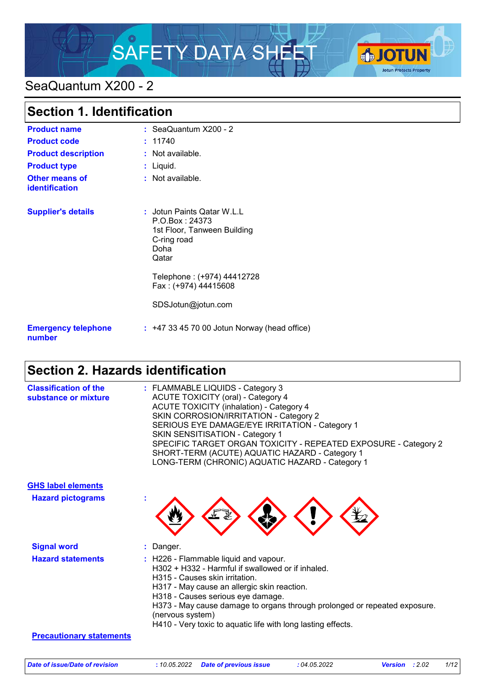# SAFETY DATA SHEET



# SeaQuantum X200 - 2

| <b>Section 1. Identification</b>        |                                                                                                                                                                   |
|-----------------------------------------|-------------------------------------------------------------------------------------------------------------------------------------------------------------------|
| <b>Product name</b>                     | $:$ SeaQuantum $X200 - 2$                                                                                                                                         |
| <b>Product code</b>                     | : 11740                                                                                                                                                           |
| <b>Product description</b>              | : Not available.                                                                                                                                                  |
| <b>Product type</b>                     | $:$ Liquid.                                                                                                                                                       |
| <b>Other means of</b><br>identification | $:$ Not available.                                                                                                                                                |
| <b>Supplier's details</b>               | : Jotun Paints Qatar W.L.L<br>P.O.Box: 24373<br>1st Floor, Tanween Building<br>C-ring road<br>Doha<br>Qatar<br>Telephone: (+974) 44412728<br>Fax: (+974) 44415608 |
|                                         |                                                                                                                                                                   |
|                                         | SDSJotun@jotun.com                                                                                                                                                |
| <b>Emergency telephone</b><br>number    | $:$ +47 33 45 70 00 Jotun Norway (head office)                                                                                                                    |

# **Section 2. Hazards identification**

| <b>Classification of the</b><br>substance or mixture | : FLAMMABLE LIQUIDS - Category 3<br><b>ACUTE TOXICITY (oral) - Category 4</b><br><b>ACUTE TOXICITY (inhalation) - Category 4</b><br>SKIN CORROSION/IRRITATION - Category 2<br>SERIOUS EYE DAMAGE/EYE IRRITATION - Category 1<br><b>SKIN SENSITISATION - Category 1</b><br>SPECIFIC TARGET ORGAN TOXICITY - REPEATED EXPOSURE - Category 2<br>SHORT-TERM (ACUTE) AQUATIC HAZARD - Category 1<br>LONG-TERM (CHRONIC) AQUATIC HAZARD - Category 1 |
|------------------------------------------------------|------------------------------------------------------------------------------------------------------------------------------------------------------------------------------------------------------------------------------------------------------------------------------------------------------------------------------------------------------------------------------------------------------------------------------------------------|
| <b>GHS label elements</b>                            |                                                                                                                                                                                                                                                                                                                                                                                                                                                |
| <b>Hazard pictograms</b>                             |                                                                                                                                                                                                                                                                                                                                                                                                                                                |
| <b>Signal word</b>                                   | : Danger.                                                                                                                                                                                                                                                                                                                                                                                                                                      |
| <b>Hazard statements</b>                             | : H226 - Flammable liquid and vapour.<br>H302 + H332 - Harmful if swallowed or if inhaled.<br>H315 - Causes skin irritation.<br>H317 - May cause an allergic skin reaction.<br>H318 - Causes serious eye damage.<br>H373 - May cause damage to organs through prolonged or repeated exposure.<br>(nervous system)<br>H410 - Very toxic to aquatic life with long lasting effects.                                                              |
| <b>Precautionary statements</b>                      |                                                                                                                                                                                                                                                                                                                                                                                                                                                |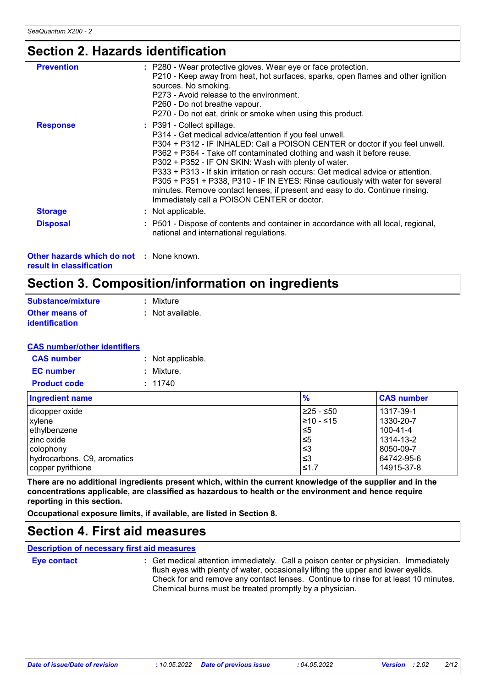### **Section 2. Hazards identification**

| <b>Prevention</b> | : P280 - Wear protective gloves. Wear eye or face protection.<br>P210 - Keep away from heat, hot surfaces, sparks, open flames and other ignition<br>sources. No smoking.<br>P273 - Avoid release to the environment.<br>P260 - Do not breathe vapour.<br>P270 - Do not eat, drink or smoke when using this product.                                                                                                                                                                                                                                                                                          |
|-------------------|---------------------------------------------------------------------------------------------------------------------------------------------------------------------------------------------------------------------------------------------------------------------------------------------------------------------------------------------------------------------------------------------------------------------------------------------------------------------------------------------------------------------------------------------------------------------------------------------------------------|
| <b>Response</b>   | : P391 - Collect spillage.<br>P314 - Get medical advice/attention if you feel unwell.<br>P304 + P312 - IF INHALED: Call a POISON CENTER or doctor if you feel unwell.<br>P362 + P364 - Take off contaminated clothing and wash it before reuse.<br>P302 + P352 - IF ON SKIN: Wash with plenty of water.<br>P333 + P313 - If skin irritation or rash occurs: Get medical advice or attention.<br>P305 + P351 + P338, P310 - IF IN EYES: Rinse cautiously with water for several<br>minutes. Remove contact lenses, if present and easy to do. Continue rinsing.<br>Immediately call a POISON CENTER or doctor. |
| <b>Storage</b>    | : Not applicable.                                                                                                                                                                                                                                                                                                                                                                                                                                                                                                                                                                                             |
| <b>Disposal</b>   | : P501 - Dispose of contents and container in accordance with all local, regional,<br>national and international regulations.                                                                                                                                                                                                                                                                                                                                                                                                                                                                                 |

**Other hazards which do not :** None known. **result in classification**

# **Section 3. Composition/information on ingredients**

| Substance/mixture     | : Mixture        |
|-----------------------|------------------|
| <b>Other means of</b> | : Not available. |
| <b>identification</b> |                  |

#### **CAS number/other identifiers**

| <b>CAS</b> number   | : Not applicable. |
|---------------------|-------------------|
| <b>EC</b> number    | : Mixture.        |
| <b>Product code</b> | : 11740           |

| <b>Ingredient name</b>      | $\frac{9}{6}$ | <b>CAS number</b> |
|-----------------------------|---------------|-------------------|
| dicopper oxide              | ≥25 - ≤50     | 1317-39-1         |
| xylene                      | 1≥10 - ≤15    | 1330-20-7         |
| ethylbenzene                | ≤5            | 100-41-4          |
| I zinc oxide                | $\leq 5$      | 1314-13-2         |
| colophony                   | וצ≥           | 8050-09-7         |
| hydrocarbons, C9, aromatics | ึ ≤3          | 64742-95-6        |
| copper pyrithione           | ≤1.7          | 14915-37-8        |

**There are no additional ingredients present which, within the current knowledge of the supplier and in the concentrations applicable, are classified as hazardous to health or the environment and hence require reporting in this section.**

**Occupational exposure limits, if available, are listed in Section 8.**

### **Section 4. First aid measures**

**Description of necessary first aid measures**

**Eye contact :**

: Get medical attention immediately. Call a poison center or physician. Immediately flush eyes with plenty of water, occasionally lifting the upper and lower eyelids. Check for and remove any contact lenses. Continue to rinse for at least 10 minutes. Chemical burns must be treated promptly by a physician.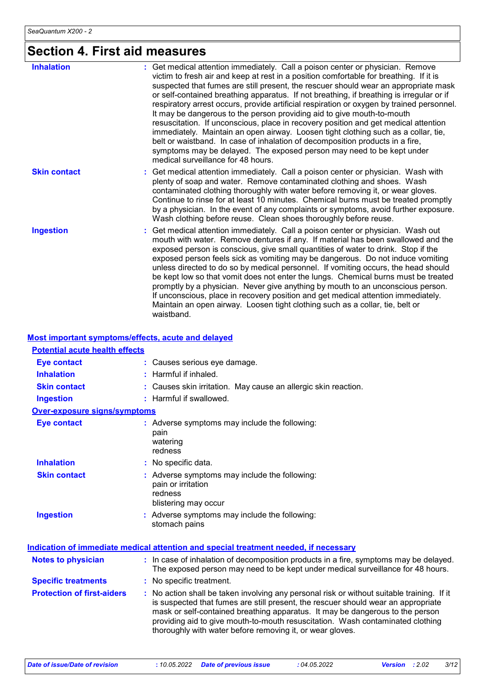# **Section 4. First aid measures**

| <b>Inhalation</b>   | : Get medical attention immediately. Call a poison center or physician. Remove<br>victim to fresh air and keep at rest in a position comfortable for breathing. If it is<br>suspected that fumes are still present, the rescuer should wear an appropriate mask<br>or self-contained breathing apparatus. If not breathing, if breathing is irregular or if<br>respiratory arrest occurs, provide artificial respiration or oxygen by trained personnel.<br>It may be dangerous to the person providing aid to give mouth-to-mouth<br>resuscitation. If unconscious, place in recovery position and get medical attention<br>immediately. Maintain an open airway. Loosen tight clothing such as a collar, tie,<br>belt or waistband. In case of inhalation of decomposition products in a fire,<br>symptoms may be delayed. The exposed person may need to be kept under |
|---------------------|---------------------------------------------------------------------------------------------------------------------------------------------------------------------------------------------------------------------------------------------------------------------------------------------------------------------------------------------------------------------------------------------------------------------------------------------------------------------------------------------------------------------------------------------------------------------------------------------------------------------------------------------------------------------------------------------------------------------------------------------------------------------------------------------------------------------------------------------------------------------------|
| <b>Skin contact</b> | medical surveillance for 48 hours.<br>: Get medical attention immediately. Call a poison center or physician. Wash with<br>plenty of soap and water. Remove contaminated clothing and shoes. Wash<br>contaminated clothing thoroughly with water before removing it, or wear gloves.<br>Continue to rinse for at least 10 minutes. Chemical burns must be treated promptly<br>by a physician. In the event of any complaints or symptoms, avoid further exposure.<br>Wash clothing before reuse. Clean shoes thoroughly before reuse.                                                                                                                                                                                                                                                                                                                                     |
| <b>Ingestion</b>    | Get medical attention immediately. Call a poison center or physician. Wash out<br>mouth with water. Remove dentures if any. If material has been swallowed and the<br>exposed person is conscious, give small quantities of water to drink. Stop if the<br>exposed person feels sick as vomiting may be dangerous. Do not induce vomiting<br>unless directed to do so by medical personnel. If vomiting occurs, the head should<br>be kept low so that vomit does not enter the lungs. Chemical burns must be treated<br>promptly by a physician. Never give anything by mouth to an unconscious person.<br>If unconscious, place in recovery position and get medical attention immediately.<br>Maintain an open airway. Loosen tight clothing such as a collar, tie, belt or<br>waistband.                                                                              |

#### **Most important symptoms/effects, acute and delayed**

| <b>Potential acute health effects</b> |                                                                                                                                                                                                                                                                                                                                                                                                                 |
|---------------------------------------|-----------------------------------------------------------------------------------------------------------------------------------------------------------------------------------------------------------------------------------------------------------------------------------------------------------------------------------------------------------------------------------------------------------------|
| <b>Eye contact</b>                    | : Causes serious eye damage.                                                                                                                                                                                                                                                                                                                                                                                    |
| <b>Inhalation</b>                     | : Harmful if inhaled.                                                                                                                                                                                                                                                                                                                                                                                           |
| <b>Skin contact</b>                   | : Causes skin irritation. May cause an allergic skin reaction.                                                                                                                                                                                                                                                                                                                                                  |
| <b>Ingestion</b>                      | : Harmful if swallowed.                                                                                                                                                                                                                                                                                                                                                                                         |
| <b>Over-exposure signs/symptoms</b>   |                                                                                                                                                                                                                                                                                                                                                                                                                 |
| <b>Eye contact</b>                    | : Adverse symptoms may include the following:<br>pain<br>watering<br>redness                                                                                                                                                                                                                                                                                                                                    |
| <b>Inhalation</b>                     | : No specific data.                                                                                                                                                                                                                                                                                                                                                                                             |
| <b>Skin contact</b>                   | : Adverse symptoms may include the following:<br>pain or irritation<br>redness<br>blistering may occur                                                                                                                                                                                                                                                                                                          |
| <b>Ingestion</b>                      | : Adverse symptoms may include the following:<br>stomach pains                                                                                                                                                                                                                                                                                                                                                  |
|                                       | <u>Indication of immediate medical attention and special treatment needed, if necessary</u>                                                                                                                                                                                                                                                                                                                     |
| <b>Notes to physician</b>             | : In case of inhalation of decomposition products in a fire, symptoms may be delayed.<br>The exposed person may need to be kept under medical surveillance for 48 hours.                                                                                                                                                                                                                                        |
| <b>Specific treatments</b>            | : No specific treatment.                                                                                                                                                                                                                                                                                                                                                                                        |
| <b>Protection of first-aiders</b>     | : No action shall be taken involving any personal risk or without suitable training. If it<br>is suspected that fumes are still present, the rescuer should wear an appropriate<br>mask or self-contained breathing apparatus. It may be dangerous to the person<br>providing aid to give mouth-to-mouth resuscitation. Wash contaminated clothing<br>thoroughly with water before removing it, or wear gloves. |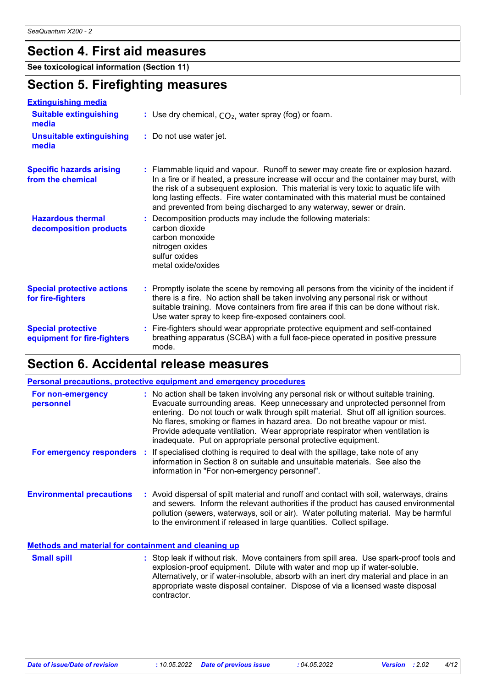## **Section 4. First aid measures**

**See toxicological information (Section 11)**

### **Section 5. Firefighting measures**

| <b>Extinguishing media</b>                               |                                                                                                                                                                                                                                                                                                                                                                                                                                       |
|----------------------------------------------------------|---------------------------------------------------------------------------------------------------------------------------------------------------------------------------------------------------------------------------------------------------------------------------------------------------------------------------------------------------------------------------------------------------------------------------------------|
| <b>Suitable extinguishing</b><br>media                   | : Use dry chemical, $CO2$ , water spray (fog) or foam.                                                                                                                                                                                                                                                                                                                                                                                |
| <b>Unsuitable extinguishing</b><br>media                 | : Do not use water jet.                                                                                                                                                                                                                                                                                                                                                                                                               |
| <b>Specific hazards arising</b><br>from the chemical     | : Flammable liquid and vapour. Runoff to sewer may create fire or explosion hazard.<br>In a fire or if heated, a pressure increase will occur and the container may burst, with<br>the risk of a subsequent explosion. This material is very toxic to aquatic life with<br>long lasting effects. Fire water contaminated with this material must be contained<br>and prevented from being discharged to any waterway, sewer or drain. |
| <b>Hazardous thermal</b><br>decomposition products       | : Decomposition products may include the following materials:<br>carbon dioxide<br>carbon monoxide<br>nitrogen oxides<br>sulfur oxides<br>metal oxide/oxides                                                                                                                                                                                                                                                                          |
| <b>Special protective actions</b><br>for fire-fighters   | : Promptly isolate the scene by removing all persons from the vicinity of the incident if<br>there is a fire. No action shall be taken involving any personal risk or without<br>suitable training. Move containers from fire area if this can be done without risk.<br>Use water spray to keep fire-exposed containers cool.                                                                                                         |
| <b>Special protective</b><br>equipment for fire-fighters | : Fire-fighters should wear appropriate protective equipment and self-contained<br>breathing apparatus (SCBA) with a full face-piece operated in positive pressure<br>mode.                                                                                                                                                                                                                                                           |

# **Section 6. Accidental release measures**

|                                                      | <b>Personal precautions, protective equipment and emergency procedures</b>                                                                                                                                                                                                                                                                                                                                                                                                                    |
|------------------------------------------------------|-----------------------------------------------------------------------------------------------------------------------------------------------------------------------------------------------------------------------------------------------------------------------------------------------------------------------------------------------------------------------------------------------------------------------------------------------------------------------------------------------|
| For non-emergency<br>personnel                       | : No action shall be taken involving any personal risk or without suitable training.<br>Evacuate surrounding areas. Keep unnecessary and unprotected personnel from<br>entering. Do not touch or walk through spilt material. Shut off all ignition sources.<br>No flares, smoking or flames in hazard area. Do not breathe vapour or mist.<br>Provide adequate ventilation. Wear appropriate respirator when ventilation is<br>inadequate. Put on appropriate personal protective equipment. |
| For emergency responders                             | : If specialised clothing is required to deal with the spillage, take note of any<br>information in Section 8 on suitable and unsuitable materials. See also the<br>information in "For non-emergency personnel".                                                                                                                                                                                                                                                                             |
| <b>Environmental precautions</b>                     | : Avoid dispersal of spilt material and runoff and contact with soil, waterways, drains<br>and sewers. Inform the relevant authorities if the product has caused environmental<br>pollution (sewers, waterways, soil or air). Water polluting material. May be harmful<br>to the environment if released in large quantities. Collect spillage.                                                                                                                                               |
| Methods and material for containment and cleaning up |                                                                                                                                                                                                                                                                                                                                                                                                                                                                                               |

: Stop leak if without risk. Move containers from spill area. Use spark-proof tools and explosion-proof equipment. Dilute with water and mop up if water-soluble. Alternatively, or if water-insoluble, absorb with an inert dry material and place in an appropriate waste disposal container. Dispose of via a licensed waste disposal contractor. **Small spill :**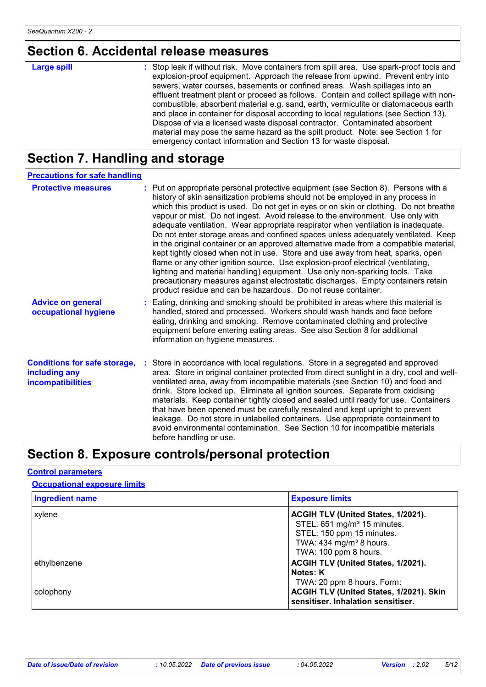# **Section 6. Accidental release measures**

| <b>Large spill</b> | : Stop leak if without risk. Move containers from spill area. Use spark-proof tools and<br>explosion-proof equipment. Approach the release from upwind. Prevent entry into<br>sewers, water courses, basements or confined areas. Wash spillages into an<br>effluent treatment plant or proceed as follows. Contain and collect spillage with non-<br>combustible, absorbent material e.g. sand, earth, vermiculite or diatomaceous earth<br>and place in container for disposal according to local regulations (see Section 13). |
|--------------------|-----------------------------------------------------------------------------------------------------------------------------------------------------------------------------------------------------------------------------------------------------------------------------------------------------------------------------------------------------------------------------------------------------------------------------------------------------------------------------------------------------------------------------------|
|                    | Dispose of via a licensed waste disposal contractor. Contaminated absorbent<br>material may pose the same hazard as the spilt product. Note: see Section 1 for<br>emergency contact information and Section 13 for waste disposal.                                                                                                                                                                                                                                                                                                |

# **Section 7. Handling and storage**

| <b>Precautions for safe handling</b>                                      |                                                                                                                                                                                                                                                                                                                                                                                                                                                                                                                                                                                                                                                                                                                                                                                                                                                                                                                                                                                                                                 |
|---------------------------------------------------------------------------|---------------------------------------------------------------------------------------------------------------------------------------------------------------------------------------------------------------------------------------------------------------------------------------------------------------------------------------------------------------------------------------------------------------------------------------------------------------------------------------------------------------------------------------------------------------------------------------------------------------------------------------------------------------------------------------------------------------------------------------------------------------------------------------------------------------------------------------------------------------------------------------------------------------------------------------------------------------------------------------------------------------------------------|
| <b>Protective measures</b>                                                | : Put on appropriate personal protective equipment (see Section 8). Persons with a<br>history of skin sensitization problems should not be employed in any process in<br>which this product is used. Do not get in eyes or on skin or clothing. Do not breathe<br>vapour or mist. Do not ingest. Avoid release to the environment. Use only with<br>adequate ventilation. Wear appropriate respirator when ventilation is inadequate.<br>Do not enter storage areas and confined spaces unless adequately ventilated. Keep<br>in the original container or an approved alternative made from a compatible material,<br>kept tightly closed when not in use. Store and use away from heat, sparks, open<br>flame or any other ignition source. Use explosion-proof electrical (ventilating,<br>lighting and material handling) equipment. Use only non-sparking tools. Take<br>precautionary measures against electrostatic discharges. Empty containers retain<br>product residue and can be hazardous. Do not reuse container. |
| <b>Advice on general</b><br>occupational hygiene                          | : Eating, drinking and smoking should be prohibited in areas where this material is<br>handled, stored and processed. Workers should wash hands and face before<br>eating, drinking and smoking. Remove contaminated clothing and protective<br>equipment before entering eating areas. See also Section 8 for additional<br>information on hygiene measures.                                                                                                                                                                                                                                                                                                                                                                                                                                                                                                                                                                                                                                                                   |
| <b>Conditions for safe storage,</b><br>including any<br>incompatibilities | : Store in accordance with local regulations. Store in a segregated and approved<br>area. Store in original container protected from direct sunlight in a dry, cool and well-<br>ventilated area, away from incompatible materials (see Section 10) and food and<br>drink. Store locked up. Eliminate all ignition sources. Separate from oxidising<br>materials. Keep container tightly closed and sealed until ready for use. Containers<br>that have been opened must be carefully resealed and kept upright to prevent<br>leakage. Do not store in unlabelled containers. Use appropriate containment to<br>avoid environmental contamination. See Section 10 for incompatible materials<br>before handling or use.                                                                                                                                                                                                                                                                                                         |

# **Section 8. Exposure controls/personal protection**

#### **Control parameters**

**Occupational exposure limits**

| <b>Ingredient name</b> | <b>Exposure limits</b>                                                        |
|------------------------|-------------------------------------------------------------------------------|
| xylene                 | ACGIH TLV (United States, 1/2021).                                            |
|                        | STEL: 651 mg/m <sup>3</sup> 15 minutes.                                       |
|                        | STEL: 150 ppm 15 minutes.                                                     |
|                        | TWA: $434$ mg/m <sup>3</sup> 8 hours.                                         |
|                        | TWA: 100 ppm 8 hours.                                                         |
| ethylbenzene           | ACGIH TLV (United States, 1/2021).                                            |
|                        | Notes: K                                                                      |
|                        | TWA: 20 ppm 8 hours. Form:                                                    |
| colophony              | ACGIH TLV (United States, 1/2021). Skin<br>sensitiser. Inhalation sensitiser. |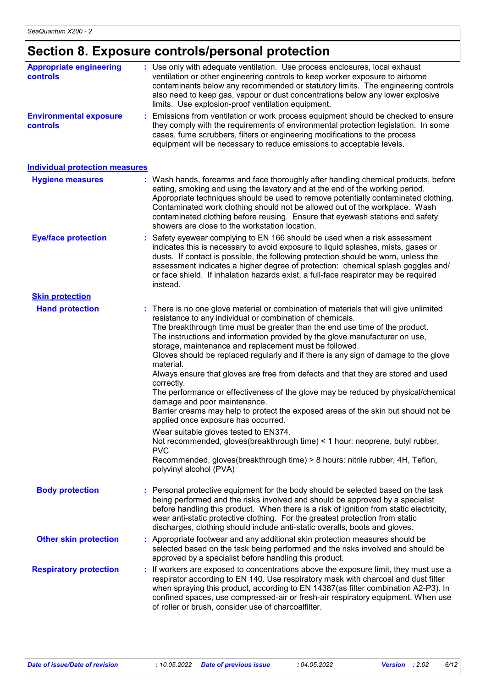# **Section 8. Exposure controls/personal protection**

| <b>Appropriate engineering</b><br>controls | : Use only with adequate ventilation. Use process enclosures, local exhaust<br>ventilation or other engineering controls to keep worker exposure to airborne<br>contaminants below any recommended or statutory limits. The engineering controls<br>also need to keep gas, vapour or dust concentrations below any lower explosive<br>limits. Use explosion-proof ventilation equipment.                                                                                                                                                                                                                                                                                                                                                                                                                                                                                                                                                                                                                                                                                               |
|--------------------------------------------|----------------------------------------------------------------------------------------------------------------------------------------------------------------------------------------------------------------------------------------------------------------------------------------------------------------------------------------------------------------------------------------------------------------------------------------------------------------------------------------------------------------------------------------------------------------------------------------------------------------------------------------------------------------------------------------------------------------------------------------------------------------------------------------------------------------------------------------------------------------------------------------------------------------------------------------------------------------------------------------------------------------------------------------------------------------------------------------|
| <b>Environmental exposure</b><br>controls  | : Emissions from ventilation or work process equipment should be checked to ensure<br>they comply with the requirements of environmental protection legislation. In some<br>cases, fume scrubbers, filters or engineering modifications to the process<br>equipment will be necessary to reduce emissions to acceptable levels.                                                                                                                                                                                                                                                                                                                                                                                                                                                                                                                                                                                                                                                                                                                                                        |
| <b>Individual protection measures</b>      |                                                                                                                                                                                                                                                                                                                                                                                                                                                                                                                                                                                                                                                                                                                                                                                                                                                                                                                                                                                                                                                                                        |
| <b>Hygiene measures</b>                    | : Wash hands, forearms and face thoroughly after handling chemical products, before<br>eating, smoking and using the lavatory and at the end of the working period.<br>Appropriate techniques should be used to remove potentially contaminated clothing.<br>Contaminated work clothing should not be allowed out of the workplace. Wash<br>contaminated clothing before reusing. Ensure that eyewash stations and safety<br>showers are close to the workstation location.                                                                                                                                                                                                                                                                                                                                                                                                                                                                                                                                                                                                            |
| <b>Eye/face protection</b>                 | : Safety eyewear complying to EN 166 should be used when a risk assessment<br>indicates this is necessary to avoid exposure to liquid splashes, mists, gases or<br>dusts. If contact is possible, the following protection should be worn, unless the<br>assessment indicates a higher degree of protection: chemical splash goggles and/<br>or face shield. If inhalation hazards exist, a full-face respirator may be required<br>instead.                                                                                                                                                                                                                                                                                                                                                                                                                                                                                                                                                                                                                                           |
| <b>Skin protection</b>                     |                                                                                                                                                                                                                                                                                                                                                                                                                                                                                                                                                                                                                                                                                                                                                                                                                                                                                                                                                                                                                                                                                        |
| <b>Hand protection</b>                     | : There is no one glove material or combination of materials that will give unlimited<br>resistance to any individual or combination of chemicals.<br>The breakthrough time must be greater than the end use time of the product.<br>The instructions and information provided by the glove manufacturer on use,<br>storage, maintenance and replacement must be followed.<br>Gloves should be replaced regularly and if there is any sign of damage to the glove<br>material.<br>Always ensure that gloves are free from defects and that they are stored and used<br>correctly.<br>The performance or effectiveness of the glove may be reduced by physical/chemical<br>damage and poor maintenance.<br>Barrier creams may help to protect the exposed areas of the skin but should not be<br>applied once exposure has occurred.<br>Wear suitable gloves tested to EN374.<br>Not recommended, gloves(breakthrough time) < 1 hour: neoprene, butyl rubber,<br><b>PVC</b><br>Recommended, gloves(breakthrough time) > 8 hours: nitrile rubber, 4H, Teflon,<br>polyvinyl alcohol (PVA) |
| <b>Body protection</b>                     | : Personal protective equipment for the body should be selected based on the task<br>being performed and the risks involved and should be approved by a specialist<br>before handling this product. When there is a risk of ignition from static electricity,<br>wear anti-static protective clothing. For the greatest protection from static<br>discharges, clothing should include anti-static overalls, boots and gloves.                                                                                                                                                                                                                                                                                                                                                                                                                                                                                                                                                                                                                                                          |
| <b>Other skin protection</b>               | : Appropriate footwear and any additional skin protection measures should be<br>selected based on the task being performed and the risks involved and should be<br>approved by a specialist before handling this product.                                                                                                                                                                                                                                                                                                                                                                                                                                                                                                                                                                                                                                                                                                                                                                                                                                                              |
| <b>Respiratory protection</b>              | If workers are exposed to concentrations above the exposure limit, they must use a<br>respirator according to EN 140. Use respiratory mask with charcoal and dust filter<br>when spraying this product, according to EN 14387(as filter combination A2-P3). In<br>confined spaces, use compressed-air or fresh-air respiratory equipment. When use<br>of roller or brush, consider use of charcoalfilter.                                                                                                                                                                                                                                                                                                                                                                                                                                                                                                                                                                                                                                                                              |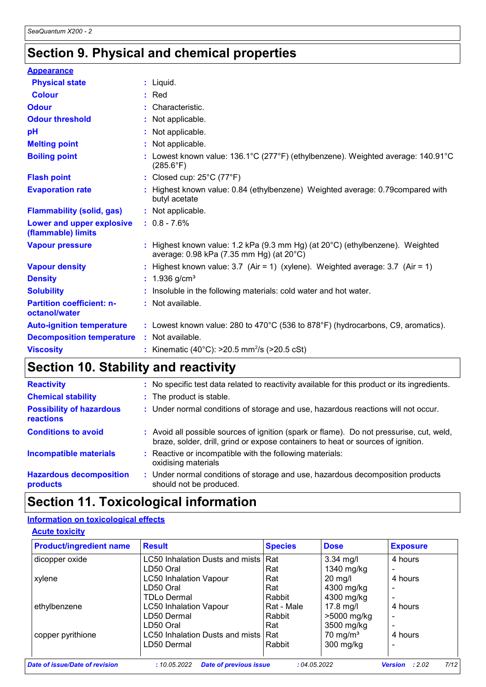# **Section 9. Physical and chemical properties**

| <b>Appearance</b>                                 |                                                                                                                                     |
|---------------------------------------------------|-------------------------------------------------------------------------------------------------------------------------------------|
| <b>Physical state</b>                             | $:$ Liquid.                                                                                                                         |
| <b>Colour</b>                                     | $:$ Red                                                                                                                             |
| <b>Odour</b>                                      | : Characteristic.                                                                                                                   |
| <b>Odour threshold</b>                            | : Not applicable.                                                                                                                   |
| pH                                                | : Not applicable.                                                                                                                   |
| <b>Melting point</b>                              | : Not applicable.                                                                                                                   |
| <b>Boiling point</b>                              | Lowest known value: 136.1°C (277°F) (ethylbenzene). Weighted average: 140.91°C<br>$(285.6^{\circ}F)$                                |
| <b>Flash point</b>                                | : Closed cup: $25^{\circ}$ C (77 $^{\circ}$ F)                                                                                      |
| <b>Evaporation rate</b>                           | : Highest known value: 0.84 (ethylbenzene) Weighted average: 0.79 compared with<br>butyl acetate                                    |
| <b>Flammability (solid, gas)</b>                  | : Not applicable.                                                                                                                   |
| Lower and upper explosive<br>(flammable) limits   | $: 0.8 - 7.6\%$                                                                                                                     |
| <b>Vapour pressure</b>                            | : Highest known value: 1.2 kPa (9.3 mm Hg) (at $20^{\circ}$ C) (ethylbenzene). Weighted<br>average: 0.98 kPa (7.35 mm Hg) (at 20°C) |
| <b>Vapour density</b>                             | : Highest known value: $3.7$ (Air = 1) (xylene). Weighted average: $3.7$ (Air = 1)                                                  |
| <b>Density</b>                                    | : $1.936$ g/cm <sup>3</sup>                                                                                                         |
| <b>Solubility</b>                                 | : Insoluble in the following materials: cold water and hot water.                                                                   |
| <b>Partition coefficient: n-</b><br>octanol/water | : Not available.                                                                                                                    |
| <b>Auto-ignition temperature</b>                  | : Lowest known value: 280 to 470°C (536 to 878°F) (hydrocarbons, C9, aromatics).                                                    |
| <b>Decomposition temperature</b>                  | : Not available.                                                                                                                    |
| <b>Viscosity</b>                                  | : Kinematic (40°C): $>20.5$ mm <sup>2</sup> /s ( $>20.5$ cSt)                                                                       |

# **Section 10. Stability and reactivity**

| <b>Reactivity</b>                            | : No specific test data related to reactivity available for this product or its ingredients.                                                                                 |
|----------------------------------------------|------------------------------------------------------------------------------------------------------------------------------------------------------------------------------|
| <b>Chemical stability</b>                    | : The product is stable.                                                                                                                                                     |
| <b>Possibility of hazardous</b><br>reactions | : Under normal conditions of storage and use, hazardous reactions will not occur.                                                                                            |
| <b>Conditions to avoid</b>                   | : Avoid all possible sources of ignition (spark or flame). Do not pressurise, cut, weld,<br>braze, solder, drill, grind or expose containers to heat or sources of ignition. |
| <b>Incompatible materials</b>                | : Reactive or incompatible with the following materials:<br>oxidising materials                                                                                              |
| <b>Hazardous decomposition</b><br>products   | : Under normal conditions of storage and use, hazardous decomposition products<br>should not be produced.                                                                    |

# **Section 11. Toxicological information**

#### **Information on toxicological effects**

|--|

| <b>Product/ingredient name</b> | <b>Result</b>                                 | <b>Species</b> | <b>Dose</b>         | <b>Exposure</b>                 |
|--------------------------------|-----------------------------------------------|----------------|---------------------|---------------------------------|
| dicopper oxide                 | LC50 Inhalation Dusts and mists               | <b>Rat</b>     | $3.34$ mg/l         | 4 hours                         |
|                                | LD50 Oral                                     | Rat            | 1340 mg/kg          |                                 |
| xylene                         | <b>LC50 Inhalation Vapour</b>                 | Rat            | $20$ mg/l           | 4 hours                         |
|                                | LD50 Oral                                     | Rat            | 4300 mg/kg          |                                 |
|                                | TDLo Dermal                                   | Rabbit         | 4300 mg/kg          |                                 |
| ethylbenzene                   | <b>LC50 Inhalation Vapour</b>                 | Rat - Male     | $17.8$ mg/l         | 4 hours                         |
|                                | LD50 Dermal                                   | Rabbit         | >5000 mg/kg         |                                 |
|                                | LD50 Oral                                     | Rat            | 3500 mg/kg          |                                 |
| copper pyrithione              | LC50 Inhalation Dusts and mists               | l Rat          | $70 \text{ mg/m}^3$ | 4 hours                         |
|                                | LD50 Dermal                                   | Rabbit         | 300 mg/kg           |                                 |
|                                |                                               |                |                     |                                 |
| Date of issue/Date of revision | <b>Date of previous issue</b><br>: 10.05.2022 | :04.05.2022    |                     | 7/12<br><b>Version</b><br>:2.02 |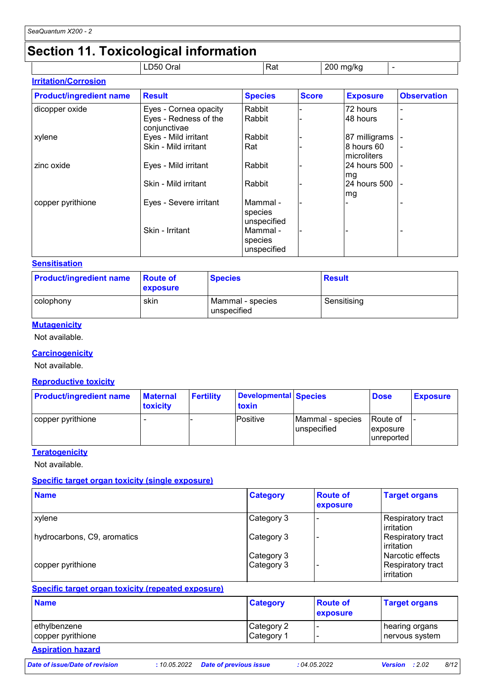# **Section 11. Toxicological information**

|                             | __<br>LD50 Oral | Rat | 200 mg/kg |  |
|-----------------------------|-----------------|-----|-----------|--|
| <b>Irritation/Corrosion</b> |                 |     |           |  |

| <b>Product/ingredient name</b> | <b>Result</b>                         | <b>Species</b>                     | <b>Score</b> | <b>Exposure</b>           | <b>Observation</b> |
|--------------------------------|---------------------------------------|------------------------------------|--------------|---------------------------|--------------------|
| dicopper oxide                 | Eyes - Cornea opacity                 | Rabbit                             |              | 72 hours                  |                    |
|                                | Eyes - Redness of the<br>conjunctivae | Rabbit                             |              | 48 hours                  |                    |
| xylene                         | Eyes - Mild irritant                  | Rabbit                             |              | 87 milligrams             |                    |
|                                | Skin - Mild irritant                  | Rat                                |              | 8 hours 60<br>microliters |                    |
| zinc oxide                     | Eyes - Mild irritant                  | Rabbit                             |              | 24 hours 500<br>mg        |                    |
|                                | Skin - Mild irritant                  | Rabbit                             |              | 24 hours 500<br>mg        |                    |
| copper pyrithione              | Eyes - Severe irritant                | Mammal -<br>species<br>unspecified |              |                           |                    |
|                                | Skin - Irritant                       | Mammal -<br>species<br>unspecified |              |                           |                    |

#### **Sensitisation**

| <b>Product/ingredient name</b> | <b>Route of</b><br><b>exposure</b> | <b>Species</b>                  | Result      |
|--------------------------------|------------------------------------|---------------------------------|-------------|
| colophony                      | skin                               | Mammal - species<br>unspecified | Sensitising |

#### **Mutagenicity**

Not available.

#### **Carcinogenicity**

Not available.

#### **Reproductive toxicity**

| <b>Product/ingredient name</b> | <b>Maternal</b><br><b>toxicity</b> | <b>Fertility</b> | Developmental Species<br>toxin |                                 | <b>Dose</b>                         | <b>Exposure</b> |
|--------------------------------|------------------------------------|------------------|--------------------------------|---------------------------------|-------------------------------------|-----------------|
| copper pyrithione              |                                    |                  | Positive                       | Mammal - species<br>unspecified | Route of<br>exposure<br>lunreported |                 |

#### **Teratogenicity**

Not available.

#### **Specific target organ toxicity (single exposure)**

| <b>Name</b>                 | <b>Category</b>          | <b>Route of</b><br>exposure | <b>Target organs</b>                                |
|-----------------------------|--------------------------|-----------------------------|-----------------------------------------------------|
| xylene                      | Category 3               |                             | <b>Respiratory tract</b><br>irritation              |
| hydrocarbons, C9, aromatics | Category 3               |                             | Respiratory tract<br>irritation                     |
| copper pyrithione           | Category 3<br>Category 3 |                             | Narcotic effects<br>Respiratory tract<br>irritation |

#### **Specific target organ toxicity (repeated exposure)**

| <b>Name</b>       | <b>Category</b> | <b>Route of</b><br><b>exposure</b> | <b>Target organs</b> |
|-------------------|-----------------|------------------------------------|----------------------|
| ethylbenzene      | Category 2      |                                    | hearing organs       |
| copper pyrithione | Category 1      |                                    | ∣nervous system      |

# **Aspiration hazard**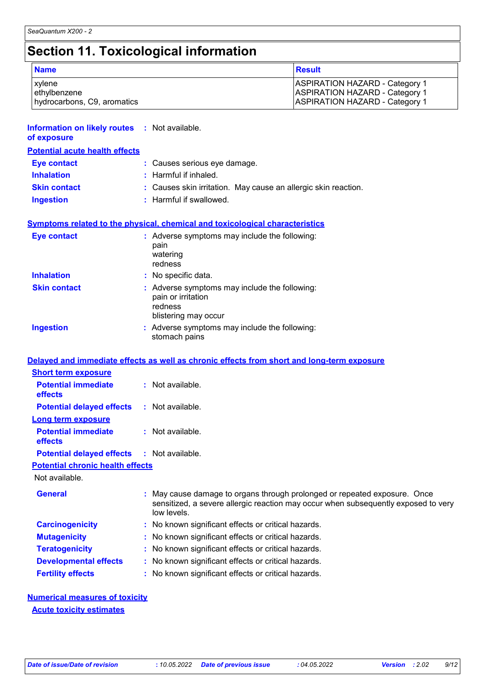# **Section 11. Toxicological information**

| <b>Name</b>                 | Result                                |
|-----------------------------|---------------------------------------|
| xylene                      | ASPIRATION HAZARD - Category 1        |
| ethylbenzene                | <b>ASPIRATION HAZARD - Category 1</b> |
| hydrocarbons, C9, aromatics | <b>ASPIRATION HAZARD - Category 1</b> |

| <b>Information on likely routes : Not available.</b><br>of exposure |                                                                                                                                                                              |
|---------------------------------------------------------------------|------------------------------------------------------------------------------------------------------------------------------------------------------------------------------|
| <b>Potential acute health effects</b>                               |                                                                                                                                                                              |
| <b>Eye contact</b>                                                  | : Causes serious eye damage.                                                                                                                                                 |
| <b>Inhalation</b>                                                   | : Harmful if inhaled.                                                                                                                                                        |
| <b>Skin contact</b>                                                 | Causes skin irritation. May cause an allergic skin reaction.                                                                                                                 |
| <b>Ingestion</b>                                                    | : Harmful if swallowed.                                                                                                                                                      |
|                                                                     | <b>Symptoms related to the physical, chemical and toxicological characteristics</b>                                                                                          |
| <b>Eye contact</b>                                                  | : Adverse symptoms may include the following:<br>pain<br>watering<br>redness                                                                                                 |
| <b>Inhalation</b>                                                   | : No specific data.                                                                                                                                                          |
| <b>Skin contact</b>                                                 | : Adverse symptoms may include the following:<br>pain or irritation<br>redness<br>blistering may occur                                                                       |
| <b>Ingestion</b>                                                    | : Adverse symptoms may include the following:<br>stomach pains                                                                                                               |
|                                                                     | Delayed and immediate effects as well as chronic effects from short and long-term exposure                                                                                   |
| <b>Short term exposure</b>                                          |                                                                                                                                                                              |
| <b>Potential immediate</b><br>effects                               | : Not available.                                                                                                                                                             |
| <b>Potential delayed effects</b>                                    | : Not available.                                                                                                                                                             |
| <b>Long term exposure</b>                                           |                                                                                                                                                                              |
| <b>Potential immediate</b><br>effects                               | : Not available.                                                                                                                                                             |
| <b>Potential delayed effects</b>                                    | : Not available.                                                                                                                                                             |
| <b>Potential chronic health effects</b>                             |                                                                                                                                                                              |
| Not available.                                                      |                                                                                                                                                                              |
| <b>General</b>                                                      | May cause damage to organs through prolonged or repeated exposure. Once<br>sensitized, a severe allergic reaction may occur when subsequently exposed to very<br>low levels. |
| <b>Carcinogenicity</b>                                              | No known significant effects or critical hazards.                                                                                                                            |
| <b>Mutagenicity</b>                                                 | No known significant effects or critical hazards.                                                                                                                            |
| <b>Teratogenicity</b>                                               | No known significant effects or critical hazards.                                                                                                                            |
| <b>Developmental effects</b>                                        | : No known significant effects or critical hazards.                                                                                                                          |

#### **Fertility effects :** No known significant effects or critical hazards.

#### **Numerical measures of toxicity Acute toxicity estimates**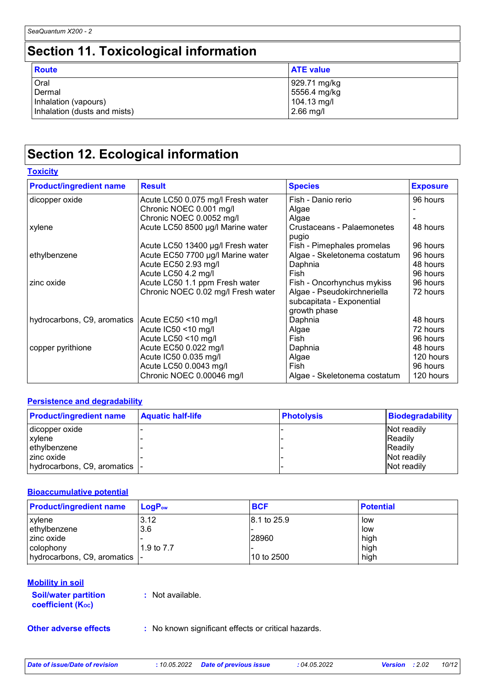# **Section 11. Toxicological information**

| <b>Route</b>                 | <b>ATE value</b> |
|------------------------------|------------------|
| Oral                         | 929.71 mg/kg     |
| Dermal                       | 5556.4 mg/kg     |
| Inhalation (vapours)         | 104.13 mg/l      |
| Inhalation (dusts and mists) | $2.66$ mg/l      |

# **Section 12. Ecological information**

**Toxicity**

| <b>Product/ingredient name</b> | <b>Result</b>                      | <b>Species</b>                      | <b>Exposure</b> |
|--------------------------------|------------------------------------|-------------------------------------|-----------------|
| dicopper oxide                 | Acute LC50 0.075 mg/l Fresh water  | Fish - Danio rerio                  | 96 hours        |
|                                | Chronic NOEC 0.001 mg/l            | Algae                               |                 |
|                                | Chronic NOEC 0.0052 mg/l           | Algae                               |                 |
| xylene                         | Acute LC50 8500 µg/l Marine water  | Crustaceans - Palaemonetes<br>pugio | 48 hours        |
|                                | Acute LC50 13400 µg/l Fresh water  | Fish - Pimephales promelas          | 96 hours        |
| ethylbenzene                   | Acute EC50 7700 µg/l Marine water  | Algae - Skeletonema costatum        | 96 hours        |
|                                | Acute EC50 2.93 mg/l               | Daphnia                             | 48 hours        |
|                                | Acute LC50 4.2 mg/l                | Fish                                | 96 hours        |
| zinc oxide                     | Acute LC50 1.1 ppm Fresh water     | Fish - Oncorhynchus mykiss          | 96 hours        |
|                                | Chronic NOEC 0.02 mg/l Fresh water | Algae - Pseudokirchneriella         | 72 hours        |
|                                |                                    | subcapitata - Exponential           |                 |
|                                |                                    | growth phase                        |                 |
| hydrocarbons, C9, aromatics    | Acute EC50 <10 mg/l                | Daphnia                             | 48 hours        |
|                                | Acute IC50 <10 mg/l                | Algae                               | 72 hours        |
|                                | Acute LC50 <10 mg/l                | Fish.                               | 96 hours        |
| copper pyrithione              | Acute EC50 0.022 mg/l              | Daphnia                             | 48 hours        |
|                                | Acute IC50 0.035 mg/l              | Algae                               | 120 hours       |
|                                | Acute LC50 0.0043 mg/l             | Fish                                | 96 hours        |
|                                | Chronic NOEC 0.00046 mg/l          | Algae - Skeletonema costatum        | 120 hours       |

#### **Persistence and degradability**

| <b>Product/ingredient name</b> | <b>Aquatic half-life</b> | <b>Photolysis</b> | <b>Biodegradability</b> |
|--------------------------------|--------------------------|-------------------|-------------------------|
| dicopper oxide                 |                          |                   | Not readily             |
| xylene                         |                          |                   | <b>IReadily</b>         |
| ethylbenzene                   |                          |                   | <b>Readily</b>          |
| zinc oxide                     |                          |                   | Not readily             |
| hydrocarbons, C9, aromatics  - |                          |                   | Not readily             |

#### **Bioaccumulative potential**

| <b>Product/ingredient name</b> | $LoaPow$   | <b>BCF</b>   | <b>Potential</b> |
|--------------------------------|------------|--------------|------------------|
| <b>xylene</b>                  | 3.12       | 18.1 to 25.9 | low              |
| ethylbenzene                   | 3.6        |              | low              |
| I zinc oxide                   |            | 28960        | high             |
| l colophony                    | 1.9 to 7.7 |              | high             |
| hydrocarbons, C9, aromatics  - |            | 10 to 2500   | high             |

#### **Mobility in soil**

| <b>Soil/water partition</b> |  |
|-----------------------------|--|
| <b>coefficient (Koc)</b>    |  |

**:** Not available.

**Other adverse effects** : No known significant effects or critical hazards.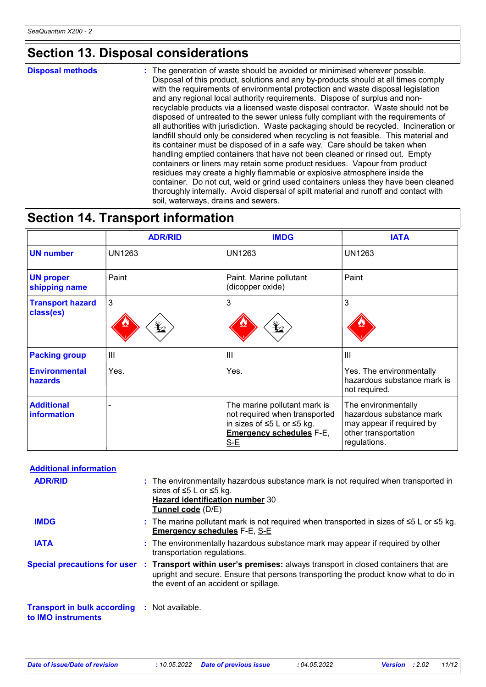### **Section 13. Disposal considerations**

**Disposal methods :**

The generation of waste should be avoided or minimised wherever possible. Disposal of this product, solutions and any by-products should at all times comply with the requirements of environmental protection and waste disposal legislation and any regional local authority requirements. Dispose of surplus and nonrecyclable products via a licensed waste disposal contractor. Waste should not be disposed of untreated to the sewer unless fully compliant with the requirements of all authorities with jurisdiction. Waste packaging should be recycled. Incineration or landfill should only be considered when recycling is not feasible. This material and its container must be disposed of in a safe way. Care should be taken when handling emptied containers that have not been cleaned or rinsed out. Empty containers or liners may retain some product residues. Vapour from product residues may create a highly flammable or explosive atmosphere inside the container. Do not cut, weld or grind used containers unless they have been cleaned thoroughly internally. Avoid dispersal of spilt material and runoff and contact with soil, waterways, drains and sewers.

### **Section 14. Transport information**

|                                      | <b>ADR/RID</b>                         | <b>IMDG</b>                                                                                                                             | <b>IATA</b>                                                                                                          |
|--------------------------------------|----------------------------------------|-----------------------------------------------------------------------------------------------------------------------------------------|----------------------------------------------------------------------------------------------------------------------|
| <b>UN number</b>                     | <b>UN1263</b>                          | <b>UN1263</b>                                                                                                                           | <b>UN1263</b>                                                                                                        |
| <b>UN proper</b><br>shipping name    | Paint                                  | Paint. Marine pollutant<br>(dicopper oxide)                                                                                             | Paint                                                                                                                |
| <b>Transport hazard</b><br>class(es) | $\mathbf{3}$<br>$\mathbf{\mathcal{L}}$ | 3<br>$\mathbf{\mathbf{\mathbf{\mathbf{\mathbf{\mathbf{\mathbf{Y}}}}}}$                                                                  | 3                                                                                                                    |
| <b>Packing group</b>                 | Ш                                      | $\mathbf{III}$                                                                                                                          | $\mathbf{III}$                                                                                                       |
| <b>Environmental</b><br>hazards      | Yes.                                   | Yes.                                                                                                                                    | Yes. The environmentally<br>hazardous substance mark is<br>not required.                                             |
| <b>Additional</b><br>information     |                                        | The marine pollutant mark is<br>not required when transported<br>in sizes of ≤5 L or ≤5 kg.<br><b>Emergency schedules F-E,</b><br>$S-E$ | The environmentally<br>hazardous substance mark<br>may appear if required by<br>other transportation<br>regulations. |

| <b>Additional information</b>                                      |                                                                                                                                                                                                                                                 |
|--------------------------------------------------------------------|-------------------------------------------------------------------------------------------------------------------------------------------------------------------------------------------------------------------------------------------------|
| <b>ADR/RID</b>                                                     | : The environmentally hazardous substance mark is not required when transported in<br>sizes of $\leq$ 5 L or $\leq$ 5 kg.<br><b>Hazard identification number 30</b><br>Tunnel code (D/E)                                                        |
| <b>IMDG</b>                                                        | : The marine pollutant mark is not required when transported in sizes of $\leq 5$ L or $\leq 5$ kg.<br><b>Emergency schedules F-E, S-E</b>                                                                                                      |
| <b>IATA</b>                                                        | : The environmentally hazardous substance mark may appear if required by other<br>transportation regulations.                                                                                                                                   |
|                                                                    | Special precautions for user : Transport within user's premises: always transport in closed containers that are<br>upright and secure. Ensure that persons transporting the product know what to do in<br>the event of an accident or spillage. |
| Transport in bulk according : Not available.<br>to IMO instruments |                                                                                                                                                                                                                                                 |